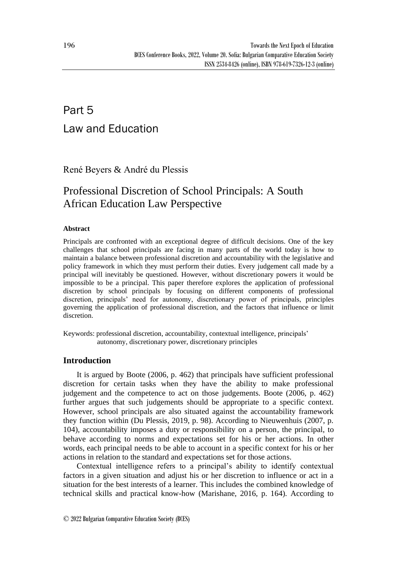# Part 5 Law and Education

René Beyers & André du Plessis

# Professional Discretion of School Principals: A South African Education Law Perspective

# **Abstract**

Principals are confronted with an exceptional degree of difficult decisions. One of the key challenges that school principals are facing in many parts of the world today is how to maintain a balance between professional discretion and accountability with the legislative and policy framework in which they must perform their duties. Every judgement call made by a principal will inevitably be questioned. However, without discretionary powers it would be impossible to be a principal. This paper therefore explores the application of professional discretion by school principals by focusing on different components of professional discretion, principals' need for autonomy, discretionary power of principals, principles governing the application of professional discretion, and the factors that influence or limit discretion.

Keywords: professional discretion, accountability, contextual intelligence, principals' autonomy, discretionary power, discretionary principles

# **Introduction**

It is argued by Boote (2006, p. 462) that principals have sufficient professional discretion for certain tasks when they have the ability to make professional judgement and the competence to act on those judgements. Boote (2006, p. 462) further argues that such judgements should be appropriate to a specific context. However, school principals are also situated against the accountability framework they function within (Du Plessis, 2019, p. 98). According to Nieuwenhuis (2007, p. 104), accountability imposes a duty or responsibility on a person, the principal, to behave according to norms and expectations set for his or her actions. In other words, each principal needs to be able to account in a specific context for his or her actions in relation to the standard and expectations set for those actions.

Contextual intelligence refers to a principal's ability to identify contextual factors in a given situation and adjust his or her discretion to influence or act in a situation for the best interests of a learner. This includes the combined knowledge of technical skills and practical know-how (Marishane, 2016, p. 164). According to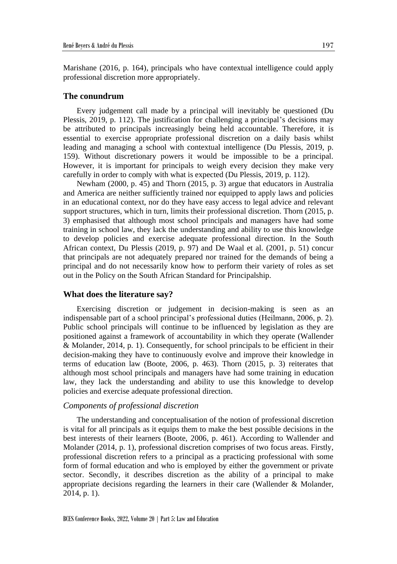Marishane (2016, p. 164), principals who have contextual intelligence could apply professional discretion more appropriately.

#### **The conundrum**

Every judgement call made by a principal will inevitably be questioned (Du Plessis, 2019, p. 112). The justification for challenging a principal's decisions may be attributed to principals increasingly being held accountable. Therefore, it is essential to exercise appropriate professional discretion on a daily basis whilst leading and managing a school with contextual intelligence (Du Plessis, 2019, p. 159). Without discretionary powers it would be impossible to be a principal. However, it is important for principals to weigh every decision they make very carefully in order to comply with what is expected (Du Plessis, 2019, p. 112).

Newham (2000, p. 45) and Thorn (2015, p. 3) argue that educators in Australia and America are neither sufficiently trained nor equipped to apply laws and policies in an educational context, nor do they have easy access to legal advice and relevant support structures, which in turn, limits their professional discretion. Thorn (2015, p. 3) emphasised that although most school principals and managers have had some training in school law, they lack the understanding and ability to use this knowledge to develop policies and exercise adequate professional direction. In the South African context, Du Plessis (2019, p. 97) and De Waal et al. (2001, p. 51) concur that principals are not adequately prepared nor trained for the demands of being a principal and do not necessarily know how to perform their variety of roles as set out in the Policy on the South African Standard for Principalship.

#### **What does the literature say?**

Exercising discretion or judgement in decision-making is seen as an indispensable part of a school principal's professional duties (Heilmann, 2006, p. 2). Public school principals will continue to be influenced by legislation as they are positioned against a framework of accountability in which they operate (Wallender & Molander, 2014, p. 1). Consequently, for school principals to be efficient in their decision-making they have to continuously evolve and improve their knowledge in terms of education law (Boote, 2006, p. 463). Thorn (2015, p. 3) reiterates that although most school principals and managers have had some training in education law, they lack the understanding and ability to use this knowledge to develop policies and exercise adequate professional direction.

#### *Components of professional discretion*

The understanding and conceptualisation of the notion of professional discretion is vital for all principals as it equips them to make the best possible decisions in the best interests of their learners (Boote, 2006, p. 461). According to Wallender and Molander (2014, p. 1), professional discretion comprises of two focus areas. Firstly, professional discretion refers to a principal as a practicing professional with some form of formal education and who is employed by either the government or private sector. Secondly, it describes discretion as the ability of a principal to make appropriate decisions regarding the learners in their care (Wallender & Molander, 2014, p. 1).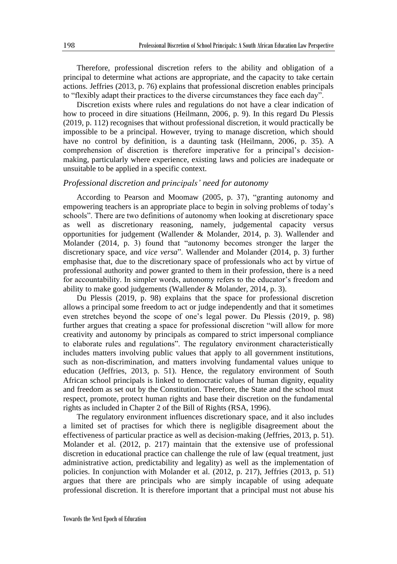Therefore, professional discretion refers to the ability and obligation of a principal to determine what actions are appropriate, and the capacity to take certain actions. Jeffries (2013, p. 76) explains that professional discretion enables principals to "flexibly adapt their practices to the diverse circumstances they face each day".

Discretion exists where rules and regulations do not have a clear indication of how to proceed in dire situations (Heilmann, 2006, p. 9). In this regard Du Plessis (2019, p. 112) recognises that without professional discretion, it would practically be impossible to be a principal. However, trying to manage discretion, which should have no control by definition, is a daunting task (Heilmann, 2006, p. 35). A comprehension of discretion is therefore imperative for a principal's decisionmaking, particularly where experience, existing laws and policies are inadequate or unsuitable to be applied in a specific context.

## *Professional discretion and principals' need for autonomy*

According to Pearson and Moomaw (2005, p. 37), "granting autonomy and empowering teachers is an appropriate place to begin in solving problems of today's schools". There are two definitions of autonomy when looking at discretionary space as well as discretionary reasoning, namely, judgemental capacity versus opportunities for judgement (Wallender & Molander, 2014, p. 3). Wallender and Molander (2014, p. 3) found that "autonomy becomes stronger the larger the discretionary space, and *vice versa*". Wallender and Molander (2014, p. 3) further emphasise that, due to the discretionary space of professionals who act by virtue of professional authority and power granted to them in their profession, there is a need for accountability. In simpler words, autonomy refers to the educator's freedom and ability to make good judgements (Wallender & Molander, 2014, p. 3).

Du Plessis (2019, p. 98) explains that the space for professional discretion allows a principal some freedom to act or judge independently and that it sometimes even stretches beyond the scope of one's legal power. Du Plessis (2019, p. 98) further argues that creating a space for professional discretion "will allow for more creativity and autonomy by principals as compared to strict impersonal compliance to elaborate rules and regulations". The regulatory environment characteristically includes matters involving public values that apply to all government institutions, such as non-discrimination, and matters involving fundamental values unique to education (Jeffries, 2013, p. 51). Hence, the regulatory environment of South African school principals is linked to democratic values of human dignity, equality and freedom as set out by the Constitution. Therefore, the State and the school must respect, promote, protect human rights and base their discretion on the fundamental rights as included in Chapter 2 of the Bill of Rights (RSA, 1996).

The regulatory environment influences discretionary space, and it also includes a limited set of practises for which there is negligible disagreement about the effectiveness of particular practice as well as decision-making (Jeffries, 2013, p. 51). Molander et al. (2012, p. 217) maintain that the extensive use of professional discretion in educational practice can challenge the rule of law (equal treatment, just administrative action, predictability and legality) as well as the implementation of policies. In conjunction with Molander et al. (2012, p. 217), Jeffries (2013, p. 51) argues that there are principals who are simply incapable of using adequate professional discretion. It is therefore important that a principal must not abuse his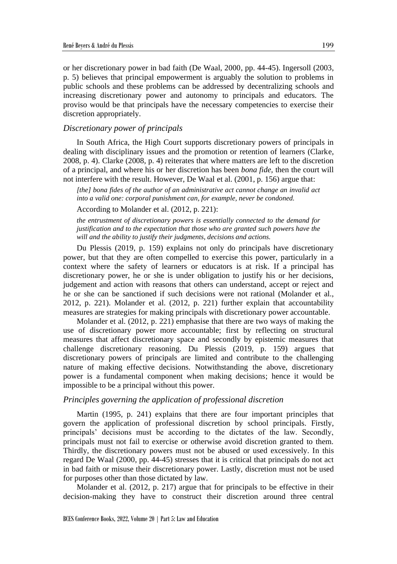or her discretionary power in bad faith (De Waal, 2000, pp. 44-45). Ingersoll (2003, p. 5) believes that principal empowerment is arguably the solution to problems in public schools and these problems can be addressed by decentralizing schools and increasing discretionary power and autonomy to principals and educators. The proviso would be that principals have the necessary competencies to exercise their discretion appropriately.

#### *Discretionary power of principals*

In South Africa, the High Court supports discretionary powers of principals in dealing with disciplinary issues and the promotion or retention of learners (Clarke, 2008, p. 4). Clarke (2008, p. 4) reiterates that where matters are left to the discretion of a principal, and where his or her discretion has been *bona fide,* then the court will not interfere with the result. However, De Waal et al. (2001, p. 156) argue that:

*[the] bona fides of the author of an administrative act cannot change an invalid act into a valid one: corporal punishment can, for example, never be condoned.*

According to Molander et al. (2012, p. 221):

*the entrustment of discretionary powers is essentially connected to the demand for justification and to the expectation that those who are granted such powers have the will and the ability to justify their judgments, decisions and actions.*

Du Plessis (2019, p. 159) explains not only do principals have discretionary power, but that they are often compelled to exercise this power, particularly in a context where the safety of learners or educators is at risk. If a principal has discretionary power, he or she is under obligation to justify his or her decisions, judgement and action with reasons that others can understand, accept or reject and he or she can be sanctioned if such decisions were not rational (Molander et al., 2012, p. 221). Molander et al. (2012, p. 221) further explain that accountability measures are strategies for making principals with discretionary power accountable.

Molander et al. (2012, p. 221) emphasise that there are two ways of making the use of discretionary power more accountable; first by reflecting on structural measures that affect discretionary space and secondly by epistemic measures that challenge discretionary reasoning. Du Plessis (2019, p. 159) argues that discretionary powers of principals are limited and contribute to the challenging nature of making effective decisions. Notwithstanding the above, discretionary power is a fundamental component when making decisions; hence it would be impossible to be a principal without this power.

#### *Principles governing the application of professional discretion*

Martin (1995, p. 241) explains that there are four important principles that govern the application of professional discretion by school principals. Firstly, principals' decisions must be according to the dictates of the law. Secondly, principals must not fail to exercise or otherwise avoid discretion granted to them. Thirdly, the discretionary powers must not be abused or used excessively. In this regard De Waal (2000, pp. 44-45) stresses that it is critical that principals do not act in bad faith or misuse their discretionary power. Lastly, discretion must not be used for purposes other than those dictated by law.

Molander et al. (2012, p. 217) argue that for principals to be effective in their decision-making they have to construct their discretion around three central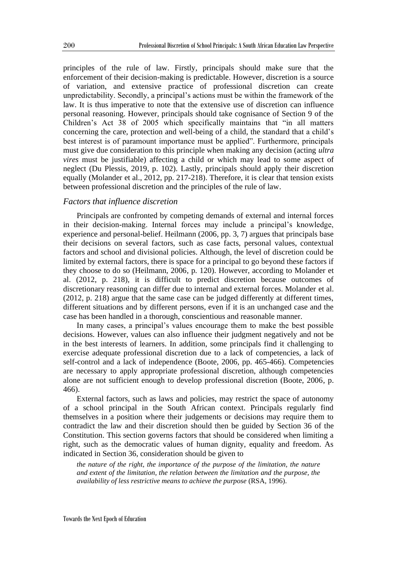principles of the rule of law. Firstly, principals should make sure that the enforcement of their decision-making is predictable. However, discretion is a source of variation, and extensive practice of professional discretion can create unpredictability. Secondly, a principal's actions must be within the framework of the law. It is thus imperative to note that the extensive use of discretion can influence personal reasoning. However, principals should take cognisance of Section 9 of the Children's Act 38 of 2005 which specifically maintains that "in all matters concerning the care, protection and well-being of a child, the standard that a child's best interest is of paramount importance must be applied". Furthermore, principals must give due consideration to this principle when making any decision (acting *ultra vires* must be justifiable) affecting a child or which may lead to some aspect of neglect (Du Plessis, 2019, p. 102). Lastly, principals should apply their discretion equally (Molander et al., 2012, pp. 217-218). Therefore, it is clear that tension exists between professional discretion and the principles of the rule of law.

#### *Factors that influence discretion*

Principals are confronted by competing demands of external and internal forces in their decision-making. Internal forces may include a principal's knowledge, experience and personal-belief. Heilmann (2006, pp. 3, 7) argues that principals base their decisions on several factors, such as case facts, personal values, contextual factors and school and divisional policies. Although, the level of discretion could be limited by external factors, there is space for a principal to go beyond these factors if they choose to do so (Heilmann, 2006, p. 120). However, according to Molander et al. (2012, p. 218), it is difficult to predict discretion because outcomes of discretionary reasoning can differ due to internal and external forces. Molander et al. (2012, p. 218) argue that the same case can be judged differently at different times, different situations and by different persons, even if it is an unchanged case and the case has been handled in a thorough, conscientious and reasonable manner.

In many cases, a principal's values encourage them to make the best possible decisions. However, values can also influence their judgment negatively and not be in the best interests of learners. In addition, some principals find it challenging to exercise adequate professional discretion due to a lack of competencies, a lack of self-control and a lack of independence (Boote, 2006, pp. 465-466). Competencies are necessary to apply appropriate professional discretion, although competencies alone are not sufficient enough to develop professional discretion (Boote, 2006, p. 466).

External factors, such as laws and policies, may restrict the space of autonomy of a school principal in the South African context. Principals regularly find themselves in a position where their judgements or decisions may require them to contradict the law and their discretion should then be guided by Section 36 of the Constitution. This section governs factors that should be considered when limiting a right, such as the democratic values of human dignity, equality and freedom. As indicated in Section 36, consideration should be given to

*the nature of the right, the importance of the purpose of the limitation, the nature and extent of the limitation, the relation between the limitation and the purpose, the availability of less restrictive means to achieve the purpose* (RSA, 1996).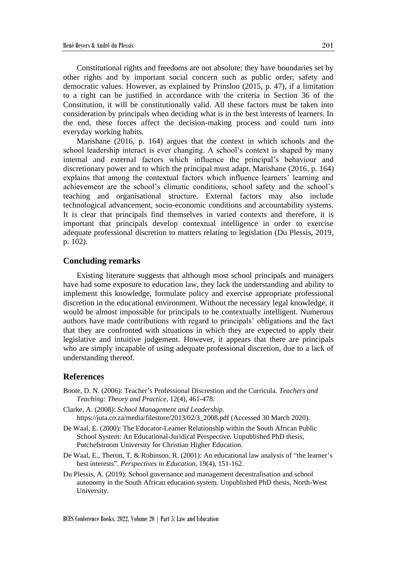Constitutional rights and freedoms are not absolute; they have boundaries set by other rights and by important social concern such as public order, safety and democratic values. However, as explained by Prinsloo (2015, p. 47), if a limitation to a right can be justified in accordance with the criteria in Section 36 of the Constitution, it will be constitutionally valid. All these factors must be taken into consideration by principals when deciding what is in the best interests of learners. In the end, these forces affect the decision-making process and could turn into everyday working habits.

Marishane (2016, p. 164) argues that the context in which schools and the school leadership interact is ever changing. A school's context is shaped by many internal and external factors which influence the principal's behaviour and discretionary power and to which the principal must adapt. Marishane (2016, p. 164) explains that among the contextual factors which influence learners' learning and achievement are the school's climatic conditions, school safety and the school's teaching and organisational structure. External factors may also include technological advancement, socio-economic conditions and accountability systems. It is clear that principals find themselves in varied contexts and therefore, it is important that principals develop contextual intelligence in order to exercise adequate professional discretion to matters relating to legislation (Du Plessis, 2019, p. 102).

#### **Concluding remarks**

Existing literature suggests that although most school principals and managers have had some exposure to education law, they lack the understanding and ability to implement this knowledge, formulate policy and exercise appropriate professional discretion in the educational environment. Without the necessary legal knowledge, it would be almost impossible for principals to be contextually intelligent. Numerous authors have made contributions with regard to principals' obligations and the fact that they are confronted with situations in which they are expected to apply their legislative and intuitive judgement. However, it appears that there are principals who are simply incapable of using adequate professional discretion, due to a lack of understanding thereof.

## **References**

- Boote, D. N. (2006): Teacher's Professional Discrestion and the Curricula. *Teachers and Teaching: Theory and Practice*, 12(4), 461-478.
- Clarke, A. (2008): *School Management and Leadership*. https://juta.co.za/media/filestore/2013/02/3\_2008.pdf (Accessed 30 March 2020).
- De Waal, E. (2000): The Educator-Learner Relationship within the South African Public School System: An Educational-Juridical Perspective. Unpublished PhD thesis, Potchefstroom University for Christian Higher Education.
- De Waal, E., Theron, T. & Robinson, R. (2001): An educational law analysis of "the learner's best interests". *Perspectives in Education*, 19(4), 151-162.
- Du Plessis, A. (2019): School governance and management decentralisation and school autonomy in the South African education system. Unpublished PhD thesis, North-West University.